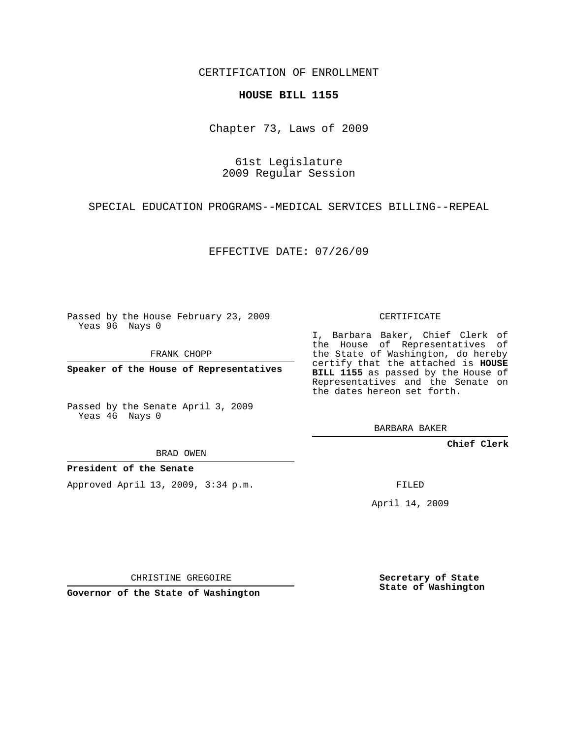CERTIFICATION OF ENROLLMENT

## **HOUSE BILL 1155**

Chapter 73, Laws of 2009

61st Legislature 2009 Regular Session

SPECIAL EDUCATION PROGRAMS--MEDICAL SERVICES BILLING--REPEAL

EFFECTIVE DATE: 07/26/09

Passed by the House February 23, 2009 Yeas 96 Nays 0

FRANK CHOPP

**Speaker of the House of Representatives**

Passed by the Senate April 3, 2009 Yeas 46 Nays 0

BRAD OWEN

## **President of the Senate**

Approved April 13, 2009, 3:34 p.m.

CERTIFICATE

I, Barbara Baker, Chief Clerk of the House of Representatives of the State of Washington, do hereby certify that the attached is **HOUSE BILL 1155** as passed by the House of Representatives and the Senate on the dates hereon set forth.

BARBARA BAKER

**Chief Clerk**

FILED

April 14, 2009

CHRISTINE GREGOIRE

**Governor of the State of Washington**

**Secretary of State State of Washington**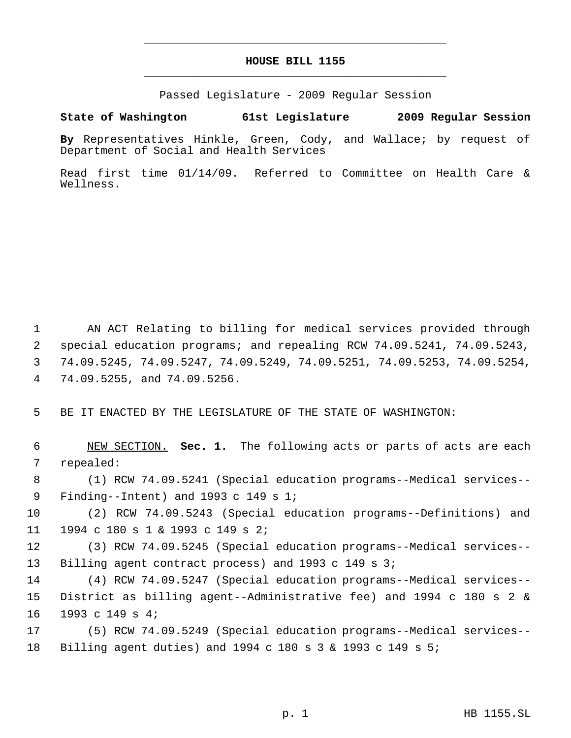## **HOUSE BILL 1155** \_\_\_\_\_\_\_\_\_\_\_\_\_\_\_\_\_\_\_\_\_\_\_\_\_\_\_\_\_\_\_\_\_\_\_\_\_\_\_\_\_\_\_\_\_

\_\_\_\_\_\_\_\_\_\_\_\_\_\_\_\_\_\_\_\_\_\_\_\_\_\_\_\_\_\_\_\_\_\_\_\_\_\_\_\_\_\_\_\_\_

Passed Legislature - 2009 Regular Session

## **State of Washington 61st Legislature 2009 Regular Session**

**By** Representatives Hinkle, Green, Cody, and Wallace; by request of Department of Social and Health Services

Read first time 01/14/09. Referred to Committee on Health Care & Wellness.

 AN ACT Relating to billing for medical services provided through special education programs; and repealing RCW 74.09.5241, 74.09.5243, 74.09.5245, 74.09.5247, 74.09.5249, 74.09.5251, 74.09.5253, 74.09.5254, 74.09.5255, and 74.09.5256.

BE IT ENACTED BY THE LEGISLATURE OF THE STATE OF WASHINGTON:

 NEW SECTION. **Sec. 1.** The following acts or parts of acts are each repealed:

 (1) RCW 74.09.5241 (Special education programs--Medical services-- Finding--Intent) and 1993 c 149 s 1;

 (2) RCW 74.09.5243 (Special education programs--Definitions) and 1994 c 180 s 1 & 1993 c 149 s 2;

 (3) RCW 74.09.5245 (Special education programs--Medical services-- Billing agent contract process) and 1993 c 149 s 3;

 (4) RCW 74.09.5247 (Special education programs--Medical services-- District as billing agent--Administrative fee) and 1994 c 180 s 2 & 1993 c 149 s 4;

 (5) RCW 74.09.5249 (Special education programs--Medical services-- Billing agent duties) and 1994 c 180 s 3 & 1993 c 149 s 5;